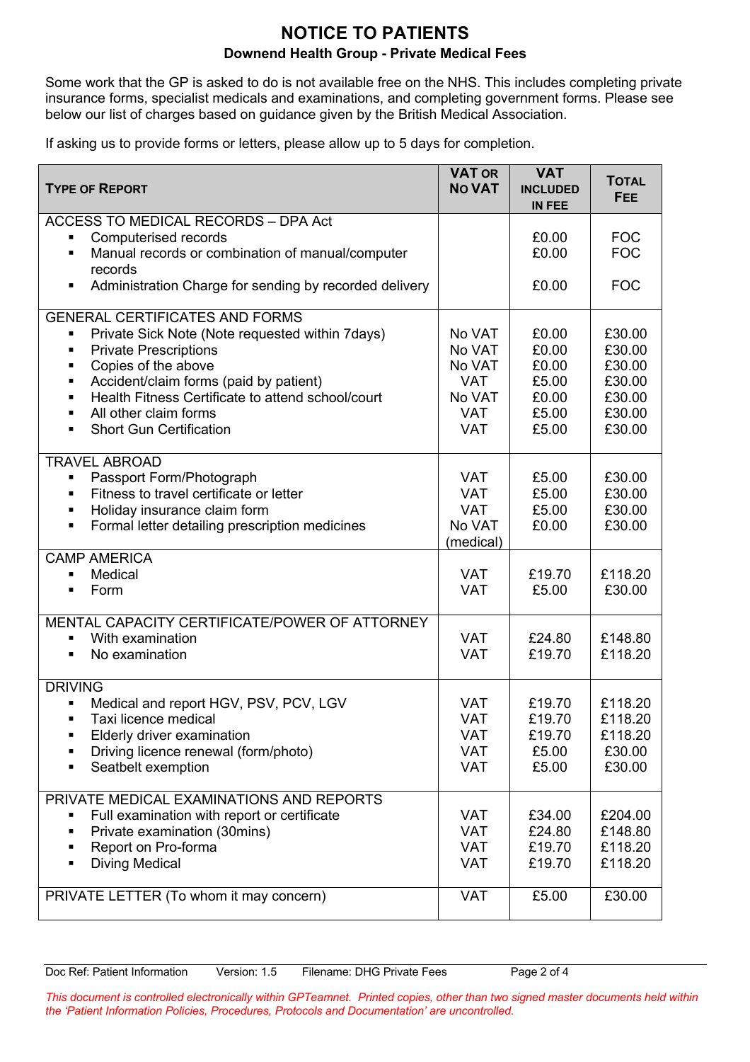## **NOTICE TO PATIENTS Downend Health Group - Private Medical Fees**

Some work that the GP is asked to do is not available free on the NHS. This includes completing private insurance forms, specialist medicals and examinations, and completing government forms. Please see below our list of charges based on guidance given by the British Medical Association.

If asking us to provide forms or letters, please allow up to 5 days for completion.

| <b>TYPE OF REPORT</b>                                                                                                                                                                                                                                                                                                                                                  | <b>VAT OR</b><br><b>NO VAT</b>                                                 | <b>VAT</b><br><b>INCLUDED</b><br>IN FEE                     | <b>TOTAL</b><br><b>FEE</b>                                         |
|------------------------------------------------------------------------------------------------------------------------------------------------------------------------------------------------------------------------------------------------------------------------------------------------------------------------------------------------------------------------|--------------------------------------------------------------------------------|-------------------------------------------------------------|--------------------------------------------------------------------|
| <b>ACCESS TO MEDICAL RECORDS - DPA Act</b><br>Computerised records<br>Manual records or combination of manual/computer<br>$\blacksquare$<br>records                                                                                                                                                                                                                    |                                                                                | £0.00<br>£0.00                                              | <b>FOC</b><br><b>FOC</b>                                           |
| Administration Charge for sending by recorded delivery<br>٠                                                                                                                                                                                                                                                                                                            |                                                                                | £0.00                                                       | <b>FOC</b>                                                         |
| <b>GENERAL CERTIFICATES AND FORMS</b><br>Private Sick Note (Note requested within 7days)<br>П<br><b>Private Prescriptions</b><br>٠<br>Copies of the above<br>٠<br>Accident/claim forms (paid by patient)<br>٠<br>Health Fitness Certificate to attend school/court<br>٠<br>All other claim forms<br>$\blacksquare$<br><b>Short Gun Certification</b><br>$\blacksquare$ | No VAT<br>No VAT<br>No VAT<br><b>VAT</b><br>No VAT<br><b>VAT</b><br><b>VAT</b> | £0.00<br>£0.00<br>£0.00<br>£5.00<br>£0.00<br>£5.00<br>£5.00 | £30.00<br>£30.00<br>£30.00<br>£30.00<br>£30.00<br>£30.00<br>£30.00 |
| <b>TRAVEL ABROAD</b><br>Passport Form/Photograph<br>٠<br>Fitness to travel certificate or letter<br>٠<br>Holiday insurance claim form<br>٠<br>Formal letter detailing prescription medicines<br>٠                                                                                                                                                                      | <b>VAT</b><br><b>VAT</b><br><b>VAT</b><br>No VAT<br>(medical)                  | £5.00<br>£5.00<br>£5.00<br>£0.00                            | £30.00<br>£30.00<br>£30.00<br>£30.00                               |
| <b>CAMP AMERICA</b><br>Medical<br>$\blacksquare$<br>Form<br>$\blacksquare$                                                                                                                                                                                                                                                                                             | <b>VAT</b><br><b>VAT</b>                                                       | £19.70<br>£5.00                                             | £118.20<br>£30.00                                                  |
| MENTAL CAPACITY CERTIFICATE/POWER OF ATTORNEY<br>With examination<br>$\blacksquare$<br>No examination<br>$\blacksquare$                                                                                                                                                                                                                                                | <b>VAT</b><br><b>VAT</b>                                                       | £24.80<br>£19.70                                            | £148.80<br>£118.20                                                 |
| <b>DRIVING</b><br>Medical and report HGV, PSV, PCV, LGV<br>Taxi licence medical<br>٠<br>Elderly driver examination<br>٠<br>Driving licence renewal (form/photo)<br>Seatbelt exemption<br>٠                                                                                                                                                                             | <b>VAT</b><br><b>VAT</b><br><b>VAT</b><br><b>VAT</b><br><b>VAT</b>             | £19.70<br>£19.70<br>£19.70<br>£5.00<br>£5.00                | £118.20<br>£118.20<br>£118.20<br>£30.00<br>£30.00                  |
| PRIVATE MEDICAL EXAMINATIONS AND REPORTS<br>Full examination with report or certificate<br>Private examination (30mins)<br>٠<br>Report on Pro-forma<br>٠<br><b>Diving Medical</b><br>٠                                                                                                                                                                                 | <b>VAT</b><br><b>VAT</b><br><b>VAT</b><br><b>VAT</b>                           | £34.00<br>£24.80<br>£19.70<br>£19.70                        | £204.00<br>£148.80<br>£118.20<br>£118.20                           |
| PRIVATE LETTER (To whom it may concern)                                                                                                                                                                                                                                                                                                                                | <b>VAT</b>                                                                     | £5.00                                                       | £30.00                                                             |

*This document is controlled electronically within GPTeamnet. Printed copies, other than two signed master documents held within the 'Patient Information Policies, Procedures, Protocols and Documentation' are uncontrolled.*